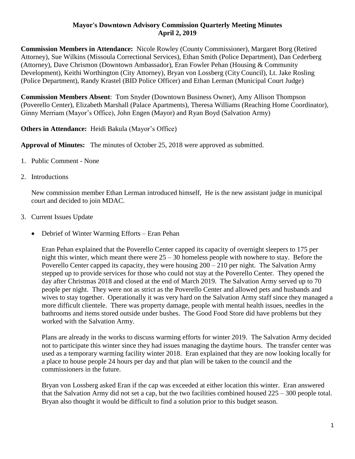## **Mayor's Downtown Advisory Commission Quarterly Meeting Minutes April 2, 2019**

**Commission Members in Attendance:** Nicole Rowley (County Commissioner), Margaret Borg (Retired Attorney), Sue Wilkins (Missoula Correctional Services), Ethan Smith (Police Department), Dan Cederberg (Attorney), Dave Chrismon (Downtown Ambassador), Eran Fowler Pehan (Housing & Community Development), Keithi Worthington (City Attorney), Bryan von Lossberg (City Council), Lt. Jake Rosling (Police Department), Randy Krastel (BID Police Officer) and Ethan Lerman (Municipal Court Judge)

**Commission Members Absent**: Tom Snyder (Downtown Business Owner), Amy Allison Thompson (Poverello Center), Elizabeth Marshall (Palace Apartments), Theresa Williams (Reaching Home Coordinator), Ginny Merriam (Mayor's Office), John Engen (Mayor) and Ryan Boyd (Salvation Army)

**Others in Attendance:** Heidi Bakula (Mayor's Office)

**Approval of Minutes:** The minutes of October 25, 2018 were approved as submitted.

- 1. Public Comment None
- 2. Introductions

New commission member Ethan Lerman introduced himself, He is the new assistant judge in municipal court and decided to join MDAC.

- 3. Current Issues Update
	- Debrief of Winter Warming Efforts Eran Pehan

Eran Pehan explained that the Poverello Center capped its capacity of overnight sleepers to 175 per night this winter, which meant there were  $25 - 30$  homeless people with nowhere to stay. Before the Poverello Center capped its capacity, they were housing  $200 - 210$  per night. The Salvation Army stepped up to provide services for those who could not stay at the Poverello Center. They opened the day after Christmas 2018 and closed at the end of March 2019. The Salvation Army served up to 70 people per night. They were not as strict as the Poverello Center and allowed pets and husbands and wives to stay together. Operationally it was very hard on the Salvation Army staff since they managed a more difficult clientele. There was property damage, people with mental health issues, needles in the bathrooms and items stored outside under bushes. The Good Food Store did have problems but they worked with the Salvation Army.

Plans are already in the works to discuss warming efforts for winter 2019. The Salvation Army decided not to participate this winter since they had issues managing the daytime hours. The transfer center was used as a temporary warming facility winter 2018. Eran explained that they are now looking locally for a place to house people 24 hours per day and that plan will be taken to the council and the commissioners in the future.

Bryan von Lossberg asked Eran if the cap was exceeded at either location this winter. Eran answered that the Salvation Army did not set a cap, but the two facilities combined housed 225 – 300 people total. Bryan also thought it would be difficult to find a solution prior to this budget season.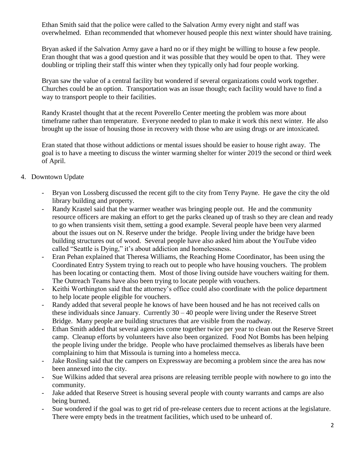Ethan Smith said that the police were called to the Salvation Army every night and staff was overwhelmed. Ethan recommended that whomever housed people this next winter should have training.

Bryan asked if the Salvation Army gave a hard no or if they might be willing to house a few people. Eran thought that was a good question and it was possible that they would be open to that. They were doubling or tripling their staff this winter when they typically only had four people working.

Bryan saw the value of a central facility but wondered if several organizations could work together. Churches could be an option. Transportation was an issue though; each facility would have to find a way to transport people to their facilities.

Randy Krastel thought that at the recent Poverello Center meeting the problem was more about timeframe rather than temperature. Everyone needed to plan to make it work this next winter. He also brought up the issue of housing those in recovery with those who are using drugs or are intoxicated.

Eran stated that those without addictions or mental issues should be easier to house right away. The goal is to have a meeting to discuss the winter warming shelter for winter 2019 the second or third week of April.

- 4. Downtown Update
	- Bryan von Lossberg discussed the recent gift to the city from Terry Payne. He gave the city the old library building and property.
	- Randy Krastel said that the warmer weather was bringing people out. He and the community resource officers are making an effort to get the parks cleaned up of trash so they are clean and ready to go when transients visit them, setting a good example. Several people have been very alarmed about the issues out on N. Reserve under the bridge. People living under the bridge have been building structures out of wood. Several people have also asked him about the YouTube video called "Seattle is Dying," it's about addiction and homelessness.
	- Eran Pehan explained that Theresa Williams, the Reaching Home Coordinator, has been using the Coordinated Entry System trying to reach out to people who have housing vouchers. The problem has been locating or contacting them. Most of those living outside have vouchers waiting for them. The Outreach Teams have also been trying to locate people with vouchers.
	- Keithi Worthington said that the attorney's office could also coordinate with the police department to help locate people eligible for vouchers.
	- Randy added that several people he knows of have been housed and he has not received calls on these individuals since January. Currently  $30 - 40$  people were living under the Reserve Street Bridge. Many people are building structures that are visible from the roadway.
	- Ethan Smith added that several agencies come together twice per year to clean out the Reserve Street camp. Cleanup efforts by volunteers have also been organized. Food Not Bombs has been helping the people living under the bridge. People who have proclaimed themselves as liberals have been complaining to him that Missoula is turning into a homeless mecca.
	- Jake Rosling said that the campers on Expressway are becoming a problem since the area has now been annexed into the city.
	- Sue Wilkins added that several area prisons are releasing terrible people with nowhere to go into the community.
	- Jake added that Reserve Street is housing several people with county warrants and camps are also being burned.
	- Sue wondered if the goal was to get rid of pre-release centers due to recent actions at the legislature. There were empty beds in the treatment facilities, which used to be unheard of.